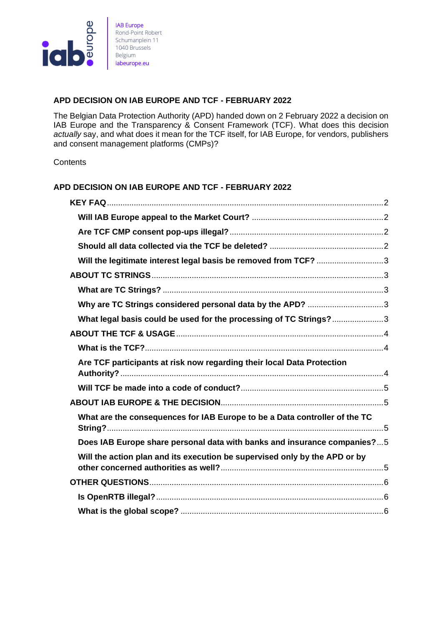

# <span id="page-0-0"></span>**APD DECISION ON IAB EUROPE AND TCF - FEBRUARY 2022**

The Belgian Data Protection Authority (APD) handed down on 2 February 2022 a decision on IAB Europe and the Transparency & Consent Framework (TCF). What does this decision *actually* say, and what does it mean for the TCF itself, for IAB Europe, for vendors, publishers and consent management platforms (CMPs)?

**Contents** 

# **[APD DECISION ON IAB EUROPE AND TCF -](#page-0-0) FEBRUARY 202[2](#page-0-0)**

| Will the legitimate interest legal basis be removed from TCF? 3            |
|----------------------------------------------------------------------------|
|                                                                            |
|                                                                            |
| Why are TC Strings considered personal data by the APD? 3                  |
| What legal basis could be used for the processing of TC Strings?3          |
|                                                                            |
|                                                                            |
| Are TCF participants at risk now regarding their local Data Protection     |
|                                                                            |
|                                                                            |
| What are the consequences for IAB Europe to be a Data controller of the TC |
| Does IAB Europe share personal data with banks and insurance companies?5   |
| Will the action plan and its execution be supervised only by the APD or by |
|                                                                            |
|                                                                            |
|                                                                            |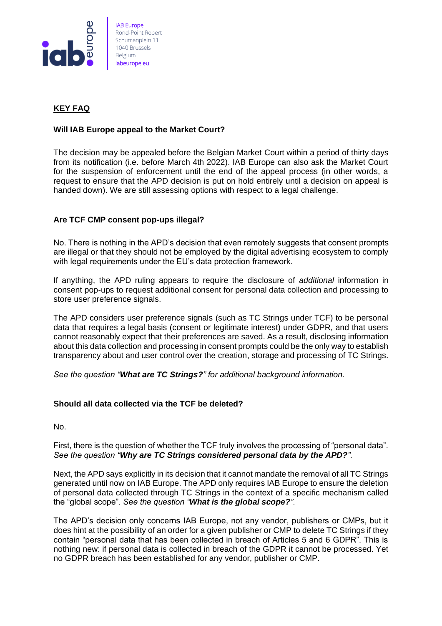

# <span id="page-1-0"></span>**KEY FAQ**

## <span id="page-1-1"></span>**Will IAB Europe appeal to the Market Court?**

The decision may be appealed before the Belgian Market Court within a period of thirty days from its notification (i.e. before March 4th 2022). IAB Europe can also ask the Market Court for the suspension of enforcement until the end of the appeal process (in other words, a request to ensure that the APD decision is put on hold entirely until a decision on appeal is handed down). We are still assessing options with respect to a legal challenge.

# <span id="page-1-2"></span>**Are TCF CMP consent pop-ups illegal?**

No. There is nothing in the APD's decision that even remotely suggests that consent prompts are illegal or that they should not be employed by the digital advertising ecosystem to comply with legal requirements under the EU's data protection framework.

If anything, the APD ruling appears to require the disclosure of *additional* information in consent pop-ups to request additional consent for personal data collection and processing to store user preference signals.

The APD considers user preference signals (such as TC Strings under TCF) to be personal data that requires a legal basis (consent or legitimate interest) under GDPR, and that users cannot reasonably expect that their preferences are saved. As a result, disclosing information about this data collection and processing in consent prompts could be the only way to establish transparency about and user control over the creation, storage and processing of TC Strings.

*See the question "What are TC Strings?" for additional background information.*

## <span id="page-1-3"></span>**Should all data collected via the TCF be deleted?**

No.

First, there is the question of whether the TCF truly involves the processing of "personal data". *See the question "Why are TC Strings considered personal data by the APD?".*

Next, the APD says explicitly in its decision that it cannot mandate the removal of all TC Strings generated until now on IAB Europe. The APD only requires IAB Europe to ensure the deletion of personal data collected through TC Strings in the context of a specific mechanism called the "global scope". *See the question "What is the global scope?".*

The APD's decision only concerns IAB Europe, not any vendor, publishers or CMPs, but it does hint at the possibility of an order for a given publisher or CMP to delete TC Strings if they contain "personal data that has been collected in breach of Articles 5 and 6 GDPR". This is nothing new: if personal data is collected in breach of the GDPR it cannot be processed. Yet no GDPR breach has been established for any vendor, publisher or CMP.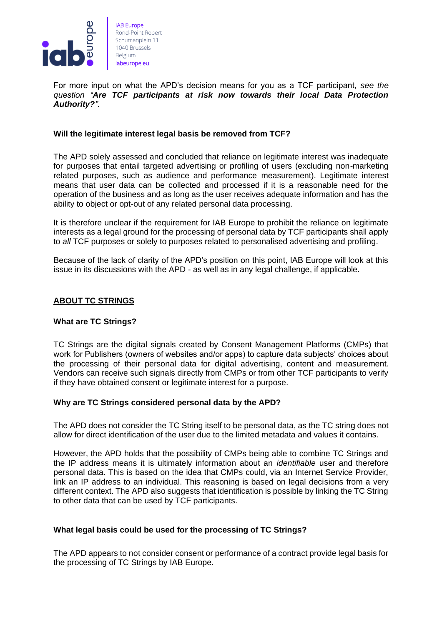

For more input on what the APD's decision means for you as a TCF participant, *see the question "Are TCF participants at risk now towards their local Data Protection Authority?".*

#### <span id="page-2-0"></span>**Will the legitimate interest legal basis be removed from TCF?**

The APD solely assessed and concluded that reliance on legitimate interest was inadequate for purposes that entail targeted advertising or profiling of users (excluding non-marketing related purposes, such as audience and performance measurement). Legitimate interest means that user data can be collected and processed if it is a reasonable need for the operation of the business and as long as the user receives adequate information and has the ability to object or opt-out of any related personal data processing.

It is therefore unclear if the requirement for IAB Europe to prohibit the reliance on legitimate interests as a legal ground for the processing of personal data by TCF participants shall apply to *all* TCF purposes or solely to purposes related to personalised advertising and profiling.

Because of the lack of clarity of the APD's position on this point, IAB Europe will look at this issue in its discussions with the APD - as well as in any legal challenge, if applicable.

## <span id="page-2-1"></span>**ABOUT TC STRINGS**

#### <span id="page-2-2"></span>**What are TC Strings?**

TC Strings are the digital signals created by Consent Management Platforms (CMPs) that work for Publishers (owners of websites and/or apps) to capture data subjects' choices about the processing of their personal data for digital advertising, content and measurement. Vendors can receive such signals directly from CMPs or from other TCF participants to verify if they have obtained consent or legitimate interest for a purpose.

#### <span id="page-2-3"></span>**Why are TC Strings considered personal data by the APD?**

The APD does not consider the TC String itself to be personal data, as the TC string does not allow for direct identification of the user due to the limited metadata and values it contains.

However, the APD holds that the possibility of CMPs being able to combine TC Strings and the IP address means it is ultimately information about an *identifiable* user and therefore personal data. This is based on the idea that CMPs could, via an Internet Service Provider, link an IP address to an individual. This reasoning is based on legal decisions from a very different context. The APD also suggests that identification is possible by linking the TC String to other data that can be used by TCF participants.

## <span id="page-2-4"></span>**What legal basis could be used for the processing of TC Strings?**

The APD appears to not consider consent or performance of a contract provide legal basis for the processing of TC Strings by IAB Europe.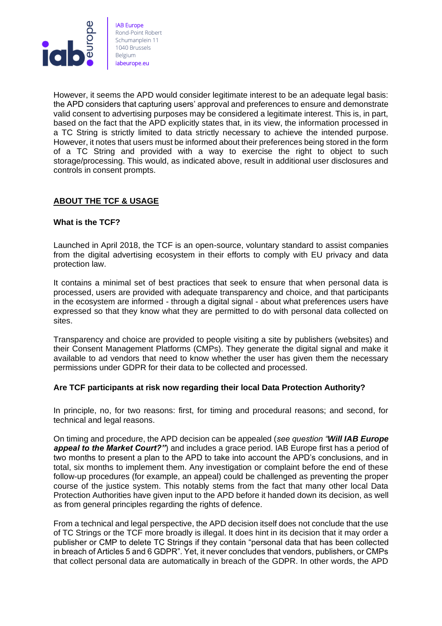

However, it seems the APD would consider legitimate interest to be an adequate legal basis: the APD considers that capturing users' approval and preferences to ensure and demonstrate valid consent to advertising purposes may be considered a legitimate interest. This is, in part, based on the fact that the APD explicitly states that, in its view, the information processed in a TC String is strictly limited to data strictly necessary to achieve the intended purpose. However, it notes that users must be informed about their preferences being stored in the form of a TC String and provided with a way to exercise the right to object to such storage/processing. This would, as indicated above, result in additional user disclosures and controls in consent prompts.

## <span id="page-3-0"></span>**ABOUT THE TCF & USAGE**

## <span id="page-3-1"></span>**What is the TCF?**

Launched in April 2018, the TCF is an open-source, voluntary standard to assist companies from the digital advertising ecosystem in their efforts to comply with EU privacy and data protection law.

It contains a minimal set of best practices that seek to ensure that when personal data is processed, users are provided with adequate transparency and choice, and that participants in the ecosystem are informed - through a digital signal - about what preferences users have expressed so that they know what they are permitted to do with personal data collected on sites.

Transparency and choice are provided to people visiting a site by publishers (websites) and their Consent Management Platforms (CMPs). They generate the digital signal and make it available to ad vendors that need to know whether the user has given them the necessary permissions under GDPR for their data to be collected and processed.

## <span id="page-3-2"></span>**Are TCF participants at risk now regarding their local Data Protection Authority?**

In principle, no, for two reasons: first, for timing and procedural reasons; and second, for technical and legal reasons.

On timing and procedure, the APD decision can be appealed (*see question "Will IAB Europe appeal to the Market Court?"*) and includes a grace period. IAB Europe first has a period of two months to present a plan to the APD to take into account the APD's conclusions, and in total, six months to implement them. Any investigation or complaint before the end of these follow-up procedures (for example, an appeal) could be challenged as preventing the proper course of the justice system. This notably stems from the fact that many other local Data Protection Authorities have given input to the APD before it handed down its decision, as well as from general principles regarding the rights of defence.

From a technical and legal perspective, the APD decision itself does not conclude that the use of TC Strings or the TCF more broadly is illegal. It does hint in its decision that it may order a publisher or CMP to delete TC Strings if they contain "personal data that has been collected in breach of Articles 5 and 6 GDPR". Yet, it never concludes that vendors, publishers, or CMPs that collect personal data are automatically in breach of the GDPR. In other words, the APD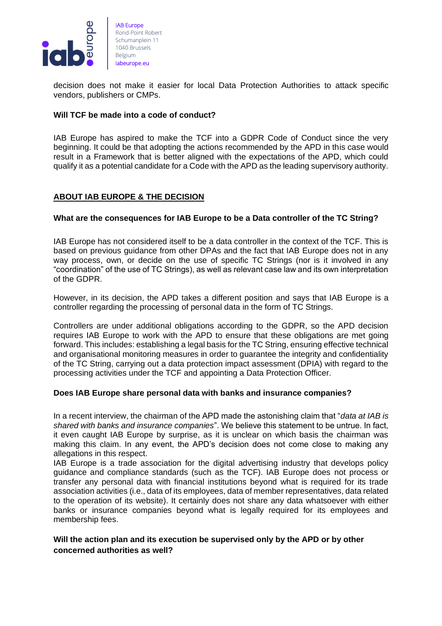

decision does not make it easier for local Data Protection Authorities to attack specific vendors, publishers or CMPs.

#### <span id="page-4-0"></span>**Will TCF be made into a code of conduct?**

IAB Europe has aspired to make the TCF into a GDPR Code of Conduct since the very beginning. It could be that adopting the actions recommended by the APD in this case would result in a Framework that is better aligned with the expectations of the APD, which could qualify it as a potential candidate for a Code with the APD as the leading supervisory authority.

## <span id="page-4-1"></span>**ABOUT IAB EUROPE & THE DECISION**

#### <span id="page-4-2"></span>**What are the consequences for IAB Europe to be a Data controller of the TC String?**

IAB Europe has not considered itself to be a data controller in the context of the TCF. This is based on previous guidance from other DPAs and the fact that IAB Europe does not in any way process, own, or decide on the use of specific TC Strings (nor is it involved in any "coordination" of the use of TC Strings), as well as relevant case law and its own interpretation of the GDPR.

However, in its decision, the APD takes a different position and says that IAB Europe is a controller regarding the processing of personal data in the form of TC Strings.

Controllers are under additional obligations according to the GDPR, so the APD decision requires IAB Europe to work with the APD to ensure that these obligations are met going forward. This includes: establishing a legal basis for the TC String, ensuring effective technical and organisational monitoring measures in order to guarantee the integrity and confidentiality of the TC String, carrying out a data protection impact assessment (DPIA) with regard to the processing activities under the TCF and appointing a Data Protection Officer.

#### <span id="page-4-3"></span>**Does IAB Europe share personal data with banks and insurance companies?**

In a recent interview, the chairman of the APD made the astonishing claim that "*data at IAB is shared with banks and insurance companies*". We believe this statement to be untrue. In fact, it even caught IAB Europe by surprise, as it is unclear on which basis the chairman was making this claim. In any event, the APD's decision does not come close to making any allegations in this respect.

IAB Europe is a trade association for the digital advertising industry that develops policy guidance and compliance standards (such as the TCF). IAB Europe does not process or transfer any personal data with financial institutions beyond what is required for its trade association activities (i.e., data of its employees, data of member representatives, data related to the operation of its website). It certainly does not share any data whatsoever with either banks or insurance companies beyond what is legally required for its employees and membership fees.

## <span id="page-4-4"></span>**Will the action plan and its execution be supervised only by the APD or by other concerned authorities as well?**